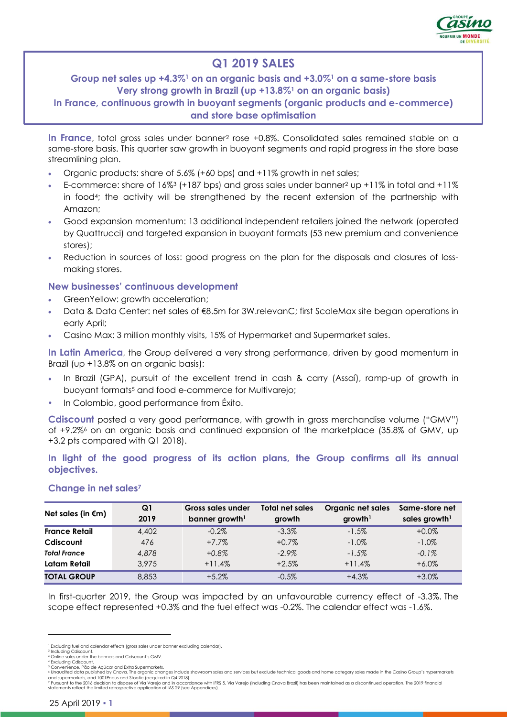

# **Q1 2019 SALES**

## **Group net sales up +4.3%<sup>1</sup> on an organic basis and +3.0%<sup>1</sup> on a same-store basis Very strong growth in Brazil (up +13.8%<sup>1</sup> on an organic basis)**

**In France, continuous growth in buoyant segments (organic products and e-commerce) and store base optimisation**

**In France**, total gross sales under banner<sup>2</sup> rose +0.8%. Consolidated sales remained stable on a same-store basis. This quarter saw growth in buoyant segments and rapid progress in the store base streamlining plan.

- Organic products: share of 5.6% (+60 bps) and +11% growth in net sales;
- E-commerce: share of 16%<sup>3</sup> (+187 bps) and gross sales under banner<sup>2</sup> up +11% in total and +11% in food4; the activity will be strengthened by the recent extension of the partnership with Amazon;
- Good expansion momentum: 13 additional independent retailers joined the network (operated by Quattrucci) and targeted expansion in buoyant formats (53 new premium and convenience stores);
- Reduction in sources of loss: good progress on the plan for the disposals and closures of lossmaking stores.

#### **New businesses' continuous development**

- GreenYellow: growth acceleration;
- Data & Data Center: net sales of €8.5m for 3W.relevanC; first ScaleMax site began operations in early April;
- Casino Max: 3 million monthly visits, 15% of Hypermarket and Supermarket sales.

**In Latin America**, the Group delivered a very strong performance, driven by good momentum in Brazil (up +13.8% on an organic basis):

- In Brazil (GPA), pursuit of the excellent trend in cash & carry (Assaí), ramp-up of growth in buoyant formats<sup>5</sup> and food e-commerce for Multivarejo;
- In Colombia, good performance from Éxito.

**Cdiscount** posted a very good performance, with growth in gross merchandise volume ("GMV") of +9.2%<sup>6</sup> on an organic basis and continued expansion of the marketplace (35.8% of GMV, up +3.2 pts compared with Q1 2018).

**In light of the good progress of its action plans, the Group confirms all its annual objectives.**

| Net sales (in $\epsilon$ m) | Q1<br>2019 | Gross sales under<br>banner growth <sup>1</sup> | Total net sales<br>growth | Organic net sales<br>growth <sup>1</sup> | Same-store net<br>sales growth <sup>1</sup> |
|-----------------------------|------------|-------------------------------------------------|---------------------------|------------------------------------------|---------------------------------------------|
| <b>France Retail</b>        | 4,402      | $-0.2\%$                                        | $-3.3\%$                  | $-1.5\%$                                 | $+0.0\%$                                    |
| Cdiscount                   | 476        | $+7.7\%$                                        | $+0.7%$                   | $-1.0\%$                                 | $-1.0\%$                                    |
| <b>Total France</b>         | 4,878      | $+0.8%$                                         | $-2.9\%$                  | $-1.5%$                                  | $-0.1\%$                                    |
| Latam Retail                | 3.975      | $+11.4%$                                        | $+2.5%$                   | $+11.4%$                                 | $+6.0\%$                                    |
| <b>TOTAL GROUP</b>          | 8,853      | $+5.2%$                                         | $-0.5\%$                  | $+4.3%$                                  | $+3.0\%$                                    |

#### **Change in net sales<sup>7</sup>**

In first-quarter 2019, the Group was impacted by an unfavourable currency effect of -3.3%. The scope effect represented +0.3% and the fuel effect was -0.2%. The calendar effect was -1.6%.

<sup>&</sup>lt;sup>1</sup> Excluding fuel and calendar effects (gross sales under banner excluding calendar).

<sup>&</sup>lt;sup>2</sup> Including Cdiscount.<br><sup>3</sup> Online sales under the banners and Cdiscount's GMV.<br><sup>4</sup> Excluding Cdiscount.<br><sup>5</sup> Convenience, Pão de Açúcar and Extra Supermarkets.

<sup>&</sup>lt;sup>s</sup> Unaudited data published by Cnova. The organic changes include showroom sales and services but exclude technical goods and home category sales made in the Casino Group's hypermarkets<br>and supermarkets, and 1001Pneus and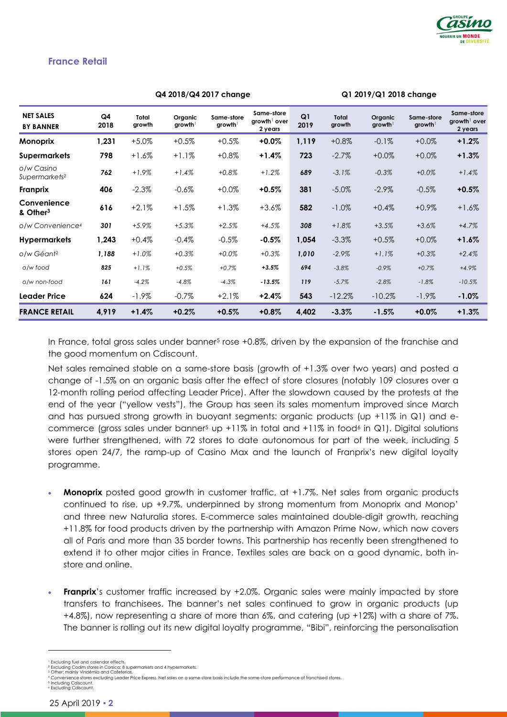

#### **France Retail**

|                                         |                        | Q4 2018/Q4 2017 change |                                   |                        |                                                   | Q1 2019/Q1 2018 change |                        |                     |                                   |                                                   |
|-----------------------------------------|------------------------|------------------------|-----------------------------------|------------------------|---------------------------------------------------|------------------------|------------------------|---------------------|-----------------------------------|---------------------------------------------------|
| <b>NET SALES</b><br><b>BY BANNER</b>    | Q <sub>4</sub><br>2018 | Total<br>growth        | Organic<br>$g$ rowth <sup>1</sup> | Same-store<br>$growth$ | Same-store<br>growth <sup>1</sup> over<br>2 years | Q1<br>2019             | <b>Total</b><br>growth | Organic<br>$growth$ | Same-store<br>growth <sup>1</sup> | Same-store<br>growth <sup>1</sup> over<br>2 years |
| Monoprix                                | 1,231                  | $+5.0\%$               | $+0.5%$                           | $+0.5%$                | $+0.0\%$                                          | 1,119                  | $+0.8\%$               | $-0.1%$             | $+0.0%$                           | $+1.2%$                                           |
| Supermarkets                            | 798                    | +1.6%                  | $+1.1%$                           | $+0.8\%$               | +1.4%                                             | 723                    | $-2.7%$                | $+0.0%$             | $+0.0%$                           | $+1.3%$                                           |
| o/w Casino<br>Supermarkets <sup>2</sup> | 762                    | $+1.9%$                | $+1.4%$                           | $+0.8%$                | $+1.2%$                                           | 689                    | $-3.1%$                | $-0.3%$             | $+0.0%$                           | $+1.4%$                                           |
| Franprix                                | 406                    | $-2.3%$                | $-0.6%$                           | $+0.0%$                | $+0.5%$                                           | 381                    | $-5.0\%$               | $-2.9\%$            | $-0.5%$                           | $+0.5%$                                           |
| Convenience<br>& Other <sup>3</sup>     | 616                    | $+2.1%$                | $+1.5%$                           | $+1.3%$                | $+3.6%$                                           | 582                    | $-1.0\%$               | $+0.4%$             | $+0.9\%$                          | $+1.6%$                                           |
| o/w Convenience <sup>4</sup>            | 301                    | $+5.9%$                | $+5.3%$                           | $+2.5%$                | $+4.5%$                                           | 308                    | $+1.8%$                | $+3.5%$             | $+3.6%$                           | $+4.7%$                                           |
| <b>Hypermarkets</b>                     | 1,243                  | $+0.4%$                | $-0.4%$                           | $-0.5%$                | $-0.5%$                                           | 1,054                  | $-3.3%$                | $+0.5%$             | $+0.0%$                           | $+1.6%$                                           |
| o/w Géant2                              | 1,188                  | $+1.0%$                | $+0.3%$                           | $+0.0%$                | $+0.3%$                                           | 1,010                  | $-2.9%$                | $+1.1%$             | $+0.3%$                           | $+2.4%$                                           |
| o/w food                                | 825                    | $+1.1%$                | $+0.5%$                           | $+0.7%$                | $+3.5%$                                           | 694                    | $-3.8%$                | $-0.9%$             | $+0.7%$                           | $+4.9%$                                           |
| o/w non-food                            | 161                    | $-4.2%$                | $-4.8%$                           | $-4.3%$                | $-13.5%$                                          | 119                    | $-5.7%$                | $-2.8%$             | $-1.8%$                           | $-10.5%$                                          |
| Leader Price                            | 624                    | $-1.9\%$               | $-0.7%$                           | $+2.1%$                | +2.4%                                             | 543                    | $-12.2%$               | $-10.2%$            | $-1.9\%$                          | $-1.0%$                                           |
| <b>FRANCE RETAIL</b>                    | 4,919                  | $+1.4%$                | $+0.2%$                           | $+0.5%$                | $+0.8\%$                                          | 4,402                  | $-3.3%$                | $-1.5%$             | $+0.0%$                           | $+1.3%$                                           |

In France, total gross sales under banner<sup>5</sup> rose +0.8%, driven by the expansion of the franchise and the good momentum on Cdiscount.

Net sales remained stable on a same-store basis (growth of +1.3% over two years) and posted a change of -1.5% on an organic basis after the effect of store closures (notably 109 closures over a 12-month rolling period affecting Leader Price). After the slowdown caused by the protests at the end of the year ("yellow vests"), the Group has seen its sales momentum improved since March and has pursued strong growth in buoyant segments: organic products (up +11% in Q1) and ecommerce (gross sales under banner<sup>5</sup> up +11% in total and +11% in food<sup>6</sup> in Q1). Digital solutions were further strengthened, with 72 stores to date autonomous for part of the week, including 5 stores open 24/7, the ramp-up of Casino Max and the launch of Franprix's new digital loyalty programme.

- **Monoprix** posted good growth in customer traffic, at +1.7%. Net sales from organic products continued to rise, up +9.7%, underpinned by strong momentum from Monoprix and Monop' and three new Naturalia stores. E-commerce sales maintained double-digit growth, reaching +11.8% for food products driven by the partnership with Amazon Prime Now, which now covers all of Paris and more than 35 border towns. This partnership has recently been strengthened to extend it to other major cities in France. Textiles sales are back on a good dynamic, both instore and online.
- **Franprix**'s customer traffic increased by +2.0%. Organic sales were mainly impacted by store transfers to franchisees. The banner's net sales continued to grow in organic products (up +4.8%), now representing a share of more than 6%, and catering (up +12%) with a share of 7%. The banner is rolling out its new digital loyalty programme, "Bibi", reinforcing the personalisation

<sup>&</sup>lt;sup>1</sup> Excluding fuel and calendar effects.<br><sup>2</sup> Excluding Codim stores in Corsica: 8 supermarkets and 4 hypermarkets. <sup>3</sup> Other: mainly Vindémia and Cafeterias

<sup>4</sup> Convenience stores excluding Leader Price Express. Net sales on a same-store basis include the same-store performance of franchised stores.

<sup>5</sup> Including Cdiscount. <sup>6</sup> Excluding Cdiscount.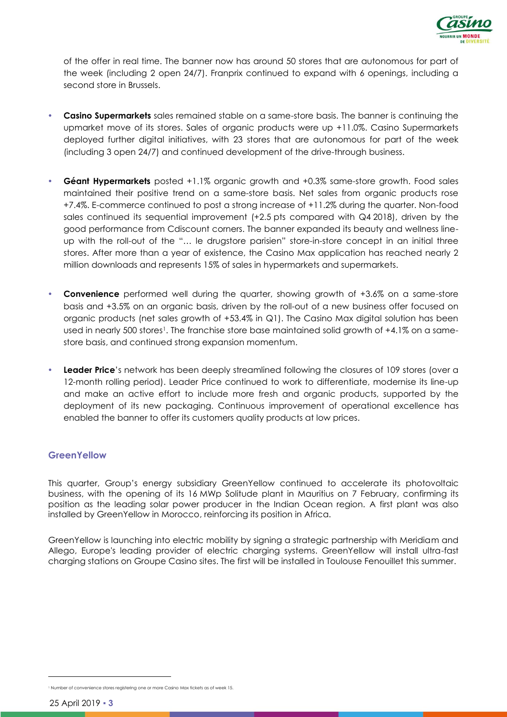

of the offer in real time. The banner now has around 50 stores that are autonomous for part of the week (including 2 open 24/7). Franprix continued to expand with 6 openings, including a second store in Brussels.

- **Casino Supermarkets** sales remained stable on a same-store basis. The banner is continuing the upmarket move of its stores. Sales of organic products were up +11.0%. Casino Supermarkets deployed further digital initiatives, with 23 stores that are autonomous for part of the week (including 3 open 24/7) and continued development of the drive-through business.
- **Géant Hypermarkets** posted +1.1% organic growth and +0.3% same-store growth. Food sales maintained their positive trend on a same-store basis. Net sales from organic products rose +7.4%. E-commerce continued to post a strong increase of +11.2% during the quarter. Non-food sales continued its sequential improvement (+2.5 pts compared with Q4 2018), driven by the good performance from Cdiscount corners. The banner expanded its beauty and wellness lineup with the roll-out of the "… le drugstore parisien" store-in-store concept in an initial three stores. After more than a year of existence, the Casino Max application has reached nearly 2 million downloads and represents 15% of sales in hypermarkets and supermarkets.
- **Convenience** performed well during the quarter, showing growth of +3.6% on a same-store basis and +3.5% on an organic basis, driven by the roll-out of a new business offer focused on organic products (net sales growth of +53.4% in Q1). The Casino Max digital solution has been used in nearly 500 stores<sup>1</sup>. The franchise store base maintained solid growth of +4.1% on a samestore basis, and continued strong expansion momentum.
- **Leader Price**'s network has been deeply streamlined following the closures of 109 stores (over a 12-month rolling period). Leader Price continued to work to differentiate, modernise its line-up and make an active effort to include more fresh and organic products, supported by the deployment of its new packaging. Continuous improvement of operational excellence has enabled the banner to offer its customers quality products at low prices.

#### **GreenYellow**

This quarter, Group's energy subsidiary GreenYellow continued to accelerate its photovoltaic business, with the opening of its 16 MWp Solitude plant in Mauritius on 7 February, confirming its position as the leading solar power producer in the Indian Ocean region. A first plant was also installed by GreenYellow in Morocco, reinforcing its position in Africa.

GreenYellow is launching into electric mobility by signing a strategic partnership with Meridiam and Allego, Europe's leading provider of electric charging systems. GreenYellow will install ultra-fast charging stations on Groupe Casino sites. The first will be installed in Toulouse Fenouillet this summer.

<sup>&</sup>lt;sup>1</sup> Number of convenience stores registering one or more Casino Max tickets as of week 15<sup>1</sup>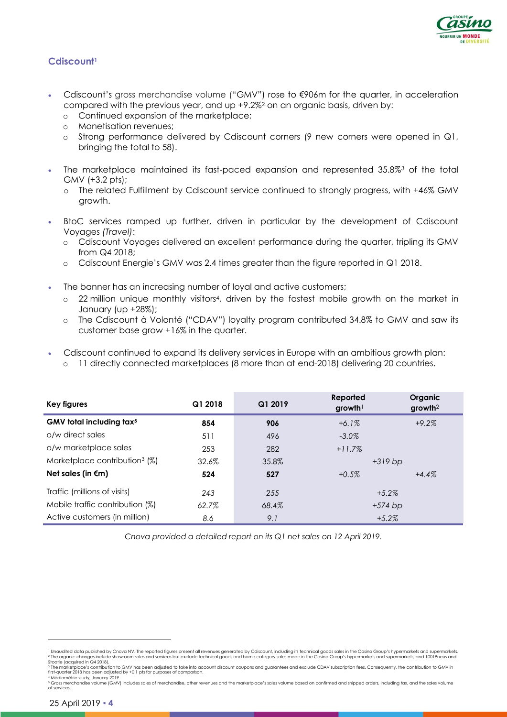

## **Cdiscount<sup>1</sup>**

- Cdiscount's gross merchandise volume ("GMV") rose to €906m for the quarter, in acceleration compared with the previous year, and up +9.2%<sup>2</sup> on an organic basis, driven by:
	- o Continued expansion of the marketplace;
	- o Monetisation revenues;
	- o Strong performance delivered by Cdiscount corners (9 new corners were opened in Q1, bringing the total to 58).
- The marketplace maintained its fast-paced expansion and represented 35.8%<sup>3</sup> of the total GMV (+3.2 pts);
	- o The related Fulfillment by Cdiscount service continued to strongly progress, with +46% GMV growth.
- BtoC services ramped up further, driven in particular by the development of Cdiscount Voyages *(Travel)*:
	- o Cdiscount Voyages delivered an excellent performance during the quarter, tripling its GMV from Q4 2018;
	- o Cdiscount Energie's GMV was 2.4 times greater than the figure reported in Q1 2018.
- The banner has an increasing number of loyal and active customers;
	- o 22 million unique monthly visitors4, driven by the fastest mobile growth on the market in January (up +28%);
	- o The Cdiscount à Volonté ("CDAV") loyalty program contributed 34.8% to GMV and saw its customer base grow +16% in the quarter.
- Cdiscount continued to expand its delivery services in Europe with an ambitious growth plan:
	- 11 directly connected marketplaces (8 more than at end-2018) delivering 20 countries.

| Key figures                               | Q1 2018 | Q1 2019 | Reported<br>$g$ rowth <sup>1</sup> | Organic<br>$growth2$ |
|-------------------------------------------|---------|---------|------------------------------------|----------------------|
| GMV total including tax <sup>5</sup>      | 854     | 906     | $+6.1%$                            | $+9.2%$              |
| o/w direct sales                          | 511     | 496     | $-3.0\%$                           |                      |
| o/w marketplace sales                     | 253     | 282     | $+11.7%$                           |                      |
| Marketplace contribution <sup>3</sup> (%) | 32.6%   | 35.8%   |                                    | $+319$ bp            |
| Net sales (in $\epsilon$ m)               | 524     | 527     | $+0.5%$                            | $+4.4\%$             |
| Traffic (millions of visits)              | 243     | 255     |                                    | $+5.2\%$             |
| Mobile traffic contribution (%)           | 62.7%   | 68.4%   |                                    | $+574$ bp            |
| Active customers (in million)             | 8.6     | 9.1     |                                    | $+5.2\%$             |

*Cnova provided a detailed report on its Q1 net sales on 12 April 2019.*

 $\overline{a}$ 

<sup>&</sup>lt;sup>1</sup> Unaudited data published by Cnova NV. The reported figures present all revenues generated by Cdiscount, including its technical goods sales in the Casino Group's hypermarkets and supermarkets.<br>3 Toe organic changes inc

first-quarter 2018 has been adjusted by +0.1 pts for purposes of comparison.

<sup>4</sup> Médiamétrie study, January 2019. <sup>5</sup> Gross merchandise volume (GMV) includes sales of merchandise, other revenues and the marketplace's sales volume based on confirmed and shipped orders, including tax, and the sales volume of services.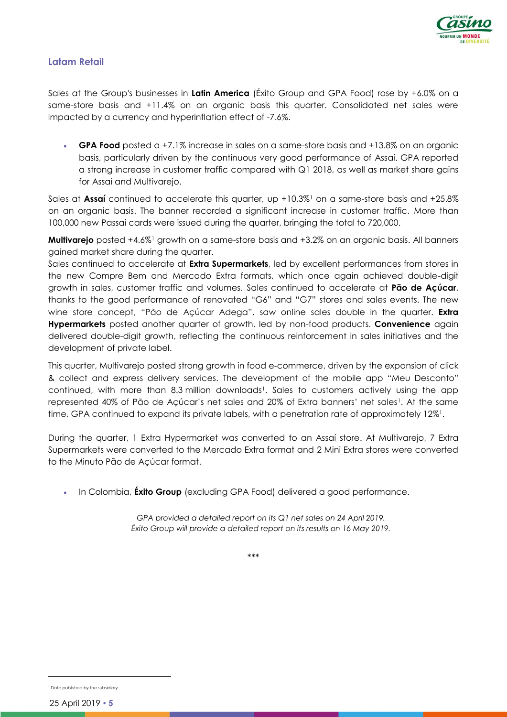

#### **Latam Retail**

Sales at the Group's businesses in **Latin America** (Éxito Group and GPA Food) rose by +6.0% on a same-store basis and +11.4% on an organic basis this quarter. Consolidated net sales were impacted by a currency and hyperinflation effect of -7.6%.

 **GPA Food** posted a +7.1% increase in sales on a same-store basis and +13.8% on an organic basis, particularly driven by the continuous very good performance of Assaí. GPA reported a strong increase in customer traffic compared with Q1 2018, as well as market share gains for Assaí and Multivarejo.

Sales at **Assaí** continued to accelerate this quarter, up +10.3%<sup>1</sup> on a same-store basis and +25.8% on an organic basis. The banner recorded a significant increase in customer traffic. More than 100,000 new Passaí cards were issued during the quarter, bringing the total to 720,000.

**Multivarejo** posted +4.6%<sup>1</sup> growth on a same-store basis and +3.2% on an organic basis. All banners gained market share during the quarter.

Sales continued to accelerate at **Extra Supermarkets**, led by excellent performances from stores in the new Compre Bem and Mercado Extra formats, which once again achieved double-digit growth in sales, customer traffic and volumes. Sales continued to accelerate at **Pão de Açúcar**, thanks to the good performance of renovated "G6" and "G7" stores and sales events. The new wine store concept, "Pão de Açúcar Adega", saw online sales double in the quarter. **Extra Hypermarkets** posted another quarter of growth, led by non-food products. **Convenience** again delivered double-digit growth, reflecting the continuous reinforcement in sales initiatives and the development of private label.

This quarter, Multivarejo posted strong growth in food e-commerce, driven by the expansion of click & collect and express delivery services. The development of the mobile app "Meu Desconto" continued, with more than 8.3 million downloads<sup>1</sup>. Sales to customers actively using the app represented 40% of Pão de Açúcar's net sales and 20% of Extra banners' net sales1. At the same time, GPA continued to expand its private labels, with a penetration rate of approximately 12%1.

During the quarter, 1 Extra Hypermarket was converted to an Assaí store. At Multivarejo, 7 Extra Supermarkets were converted to the Mercado Extra format and 2 Mini Extra stores were converted to the Minuto Pão de Açúcar format.

In Colombia, **Éxito Group** (excluding GPA Food) delivered a good performance.

*GPA provided a detailed report on its Q1 net sales on 24 April 2019. Éxito Group will provide a detailed report on its results on 16 May 2019.*

\*\*\*

<sup>&</sup>lt;sup>1</sup> Data published by the subsidiary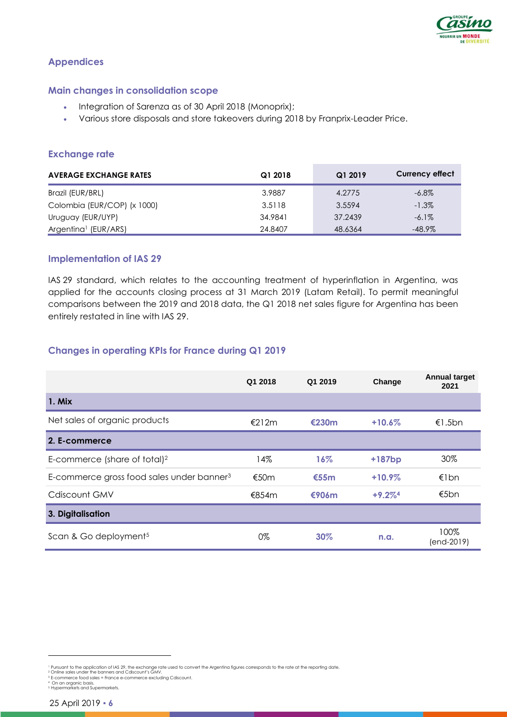

### **Appendices**

#### **Main changes in consolidation scope**

- Integration of Sarenza as of 30 April 2018 (Monoprix);
- Various store disposals and store takeovers during 2018 by Franprix-Leader Price.

### **Exchange rate**

| <b>AVERAGE EXCHANGE RATES</b>    | Q1 2018 | Q1 2019 | <b>Currency effect</b> |
|----------------------------------|---------|---------|------------------------|
| Brazil (EUR/BRL)                 | 3.9887  | 4.2775  | $-6.8\%$               |
| Colombia (EUR/COP) (x 1000)      | 3.5118  | 3.5594  | $-1.3\%$               |
| Uruguay (EUR/UYP)                | 34.9841 | 37.2439 | $-6.1\%$               |
| Argentina <sup>1</sup> (EUR/ARS) | 24.8407 | 48.6364 | $-48.9\%$              |

#### **Implementation of IAS 29**

IAS 29 standard, which relates to the accounting treatment of hyperinflation in Argentina, was applied for the accounts closing process at 31 March 2019 (Latam Retail). To permit meaningful comparisons between the 2019 and 2018 data, the Q1 2018 net sales figure for Argentina has been entirely restated in line with IAS 29.

### **Changes in operating KPIs for France during Q1 2019**

|                                                       | Q1 2018 | Q1 2019 | Change    | <b>Annual target</b><br>2021 |
|-------------------------------------------------------|---------|---------|-----------|------------------------------|
| 1. Mix                                                |         |         |           |                              |
| Net sales of organic products                         | €212m   | €230m   | $+10.6%$  | €1.5bn                       |
| 2. E-commerce                                         |         |         |           |                              |
| E-commerce (share of total) <sup>2</sup>              | 14%     | $16\%$  | $+187bp$  | 30%                          |
| E-commerce gross food sales under banner <sup>3</sup> | €50 $m$ | €55m    | $+10.9\%$ | €1bn                         |
| Cdiscount GMV                                         | €854m   | €906m   | $+9.2\%4$ | €5bn                         |
| 3. Digitalisation                                     |         |         |           |                              |
| Scan & Go deployment <sup>5</sup>                     | 0%      | 30%     | n.a.      | 100%<br>(end-2019)           |

 $\overline{a}$ 

<sup>&</sup>lt;sup>1</sup> Pursuant to the application of IAS 29, the exchange rate used to convert the Argentina figures corresponds to the rate at the reporting date.

<sup>2</sup> Online sales under the banners and Cdiscount's GMV.

<sup>3</sup> E-commerce food sales = France e-commerce excluding Cdiscount.

<sup>4</sup> On an organic basis. <sup>5</sup> Hypermarkets and Supermarkets.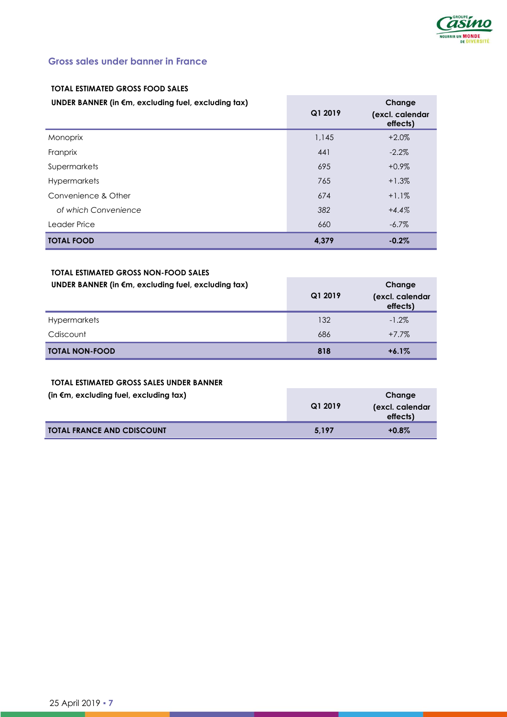

## **Gross sales under banner in France**

## **TOTAL ESTIMATED GROSS FOOD SALES**

#### **UNDER BANNER (in €m, excluding fuel, excluding tax)**

| UNDER BANNER (in €m, excluding fuel, excluding tax) | Q1 2019 | Change<br>(excl. calendar<br>effects) |
|-----------------------------------------------------|---------|---------------------------------------|
| Monoprix                                            | 1,145   | $+2.0%$                               |
| Franprix                                            | 441     | $-2.2\%$                              |
| Supermarkets                                        | 695     | $+0.9\%$                              |
| Hypermarkets                                        | 765     | $+1.3%$                               |
| Convenience & Other                                 | 674     | $+1.1%$                               |
| of which Convenience                                | 382     | $+4.4%$                               |
| Leader Price                                        | 660     | $-6.7\%$                              |
| <b>TOTAL FOOD</b>                                   | 4.379   | $-0.2%$                               |

#### **TOTAL ESTIMATED GROSS NON-FOOD SALES UNDER BANNER (in €m, excluding fuel, excluding tax)**

| UNDER BANNER (in €m, excluding fuel, excluding tax) | Q1 2019 | Change<br>(excl. calendar<br>effects) |
|-----------------------------------------------------|---------|---------------------------------------|
| <b>Hypermarkets</b>                                 | 132     | $-1.2\%$                              |
| Cdiscount                                           | 686     | $+7.7\%$                              |
| <b>TOTAL NON-FOOD</b>                               | 818     | $+6.1%$                               |

#### **TOTAL ESTIMATED GROSS SALES UNDER BANNER**

| (in $\epsilon$ m, excluding fuel, excluding tax) | Q1 2019 | Change<br>(excl. calendar<br>effects) |
|--------------------------------------------------|---------|---------------------------------------|
| <b>TOTAL FRANCE AND CDISCOUNT</b>                | 5.197   | $+0.8\%$                              |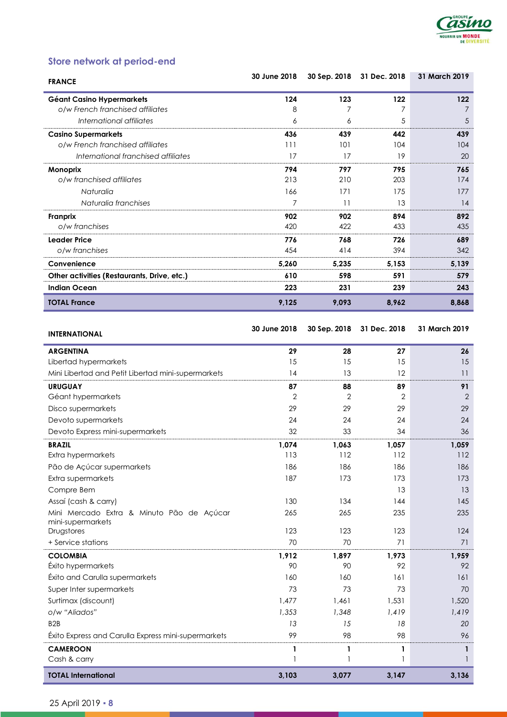

# **Store network at period-end**

| <b>FRANCE</b>                               | 30 June 2018 | 30 Sep. 2018 | 31 Dec. 2018 | 31 March 2019 |
|---------------------------------------------|--------------|--------------|--------------|---------------|
| Géant Casino Hypermarkets                   | 124          | 123          | 122          | 122           |
| o/w French franchised affiliates            | 8            |              |              |               |
| International affiliates                    | 6            | 6            | 5            | 5             |
| <b>Casino Supermarkets</b>                  | 436          | 439          | 442          | 439           |
| o/w French franchised affiliates            | 111          | 101          | 104          | 104           |
| International franchised affiliates         | 17           | 17           | 19           | 20            |
| Monoprix                                    | 794          | 797          | 795          | 765           |
| o/w franchised affiliates                   | 213          | 210          | 203          | 174           |
| Naturalia                                   | 166          | 171          | 175          | 177           |
| Naturalia franchises                        | 7            | 11           | 13           | 14            |
| Franprix                                    | 902          | 902          | 894          | 892           |
| o/w franchises                              | 420          | 422          | 433          | 435           |
| Leader Price                                | 776          | 768          | 726          | 689           |
| o/w franchises                              | 454          | 414          | 394          | 342           |
| Convenience                                 | 5,260        | 5,235        | 5,153        | 5,139         |
| Other activities (Restaurants, Drive, etc.) | 610          | 598          | 591          | 579           |
| <b>Indian Ocean</b>                         | 223          | 231          | 239          | 243           |
| <b>TOTAL France</b>                         | 9,125        | 9,093        | 8,962        | 8,868         |

**INTERNATIONAL 30 June <sup>2018</sup> 30 Sep. 2018 31 Dec. 2018 31 March 2019**

| 11 LNIYATI VIYAL                                    |                |                   |        |                   |
|-----------------------------------------------------|----------------|-------------------|--------|-------------------|
| <b>ARGENTINA</b>                                    | 29             | 28                | 27     | 26                |
| Libertad hypermarkets                               | 15             | 15                | 15     | 15                |
| Mini Libertad and Petit Libertad mini-supermarkets  | 14             | 13                | 12     | 11                |
| <b>URUGUAY</b>                                      | 87             | 88                | 89     | 91                |
| Géant hypermarkets                                  | $\overline{2}$ | $\overline{2}$    | 2      | $\overline{2}$    |
| Disco supermarkets                                  | 29             | 29                | 29     | 29                |
| Devoto supermarkets                                 | 24             | 24                | 24     | 24                |
| Devoto Express mini-supermarkets                    | 32             | 33                | 34     | 36                |
| <b>BRAZIL</b>                                       | 1,074          | 1,063             | 1,057  | 1,059             |
| Extra hypermarkets                                  | 113            | 112               | 112    | 112               |
| Pão de Açúcar supermarkets                          | 186            | 186               | 186    | 186               |
| Extra supermarkets                                  | 187            | 173               | 173    | 173               |
| Compre Bem                                          |                |                   | 13     | 13                |
| Assaí (cash & carry)                                | 130            | 134               | 144    | 145               |
| Mini Mercado Extra & Minuto Pão de Açúcar           | 265            | 265               | 235    | 235               |
| mini-supermarkets<br>Drugstores                     | 123            | 123               | 123    | 124               |
| + Service stations                                  | 70             | 70                | 71     | 71                |
| <b>COLOMBIA</b>                                     | 1,912          | 1,897             | 1,973  | 1,959             |
| Éxito hypermarkets                                  | 90             | 90                | 92     | 92                |
| Éxito and Carulla supermarkets                      | 160            | 160               | 161    | 161               |
| Super Inter supermarkets                            | 73             | 73                | 73     | 70                |
| Surtimax (discount)                                 | 1,477          | 1.461             | 1,531  | 1,520             |
| o/w "Aliados"                                       | 1,353          | 1,348             | 1,419  | 1,419             |
| B <sub>2</sub> B                                    | 13             | 15                | 18     | 20                |
| Éxito Express and Carulla Express mini-supermarkets | 99             | 98                | 98     | 96                |
| <b>CAMEROON</b>                                     |                |                   |        |                   |
| Cash & carry                                        | 1              | 1<br>$\mathbf{1}$ | 1<br>1 | $\mathbf{1}$<br>1 |
| <b>TOTAL International</b>                          | 3,103          | 3,077             | 3,147  | 3,136             |